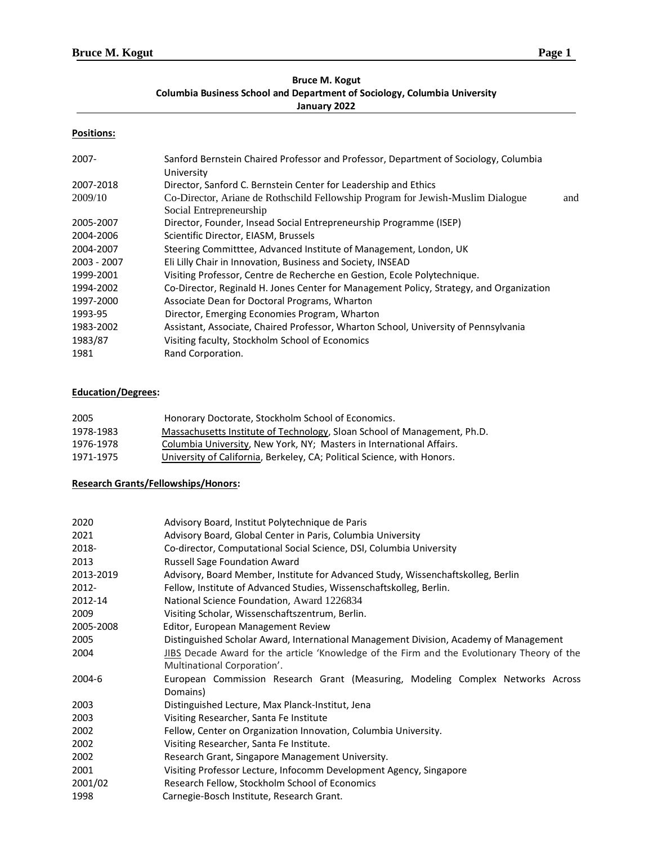# **Bruce M. Kogut Columbia Business School and Department of Sociology, Columbia University**

# **January 2022**

## **Positions:**

| 2007-       | Sanford Bernstein Chaired Professor and Professor, Department of Sociology, Columbia<br>University         |     |
|-------------|------------------------------------------------------------------------------------------------------------|-----|
| 2007-2018   | Director, Sanford C. Bernstein Center for Leadership and Ethics                                            |     |
| 2009/10     | Co-Director, Ariane de Rothschild Fellowship Program for Jewish-Muslim Dialogue<br>Social Entrepreneurship | and |
| 2005-2007   | Director, Founder, Insead Social Entrepreneurship Programme (ISEP)                                         |     |
| 2004-2006   | Scientific Director, EIASM, Brussels                                                                       |     |
| 2004-2007   | Steering Committtee, Advanced Institute of Management, London, UK                                          |     |
| 2003 - 2007 | Eli Lilly Chair in Innovation, Business and Society, INSEAD                                                |     |
| 1999-2001   | Visiting Professor, Centre de Recherche en Gestion, Ecole Polytechnique.                                   |     |
| 1994-2002   | Co-Director, Reginald H. Jones Center for Management Policy, Strategy, and Organization                    |     |
| 1997-2000   | Associate Dean for Doctoral Programs, Wharton                                                              |     |
| 1993-95     | Director, Emerging Economies Program, Wharton                                                              |     |
| 1983-2002   | Assistant, Associate, Chaired Professor, Wharton School, University of Pennsylvania                        |     |
| 1983/87     | Visiting faculty, Stockholm School of Economics                                                            |     |
| 1981        | Rand Corporation.                                                                                          |     |

# **Education/Degrees:**

| 2005      | Honorary Doctorate, Stockholm School of Economics.                       |
|-----------|--------------------------------------------------------------------------|
| 1978-1983 | Massachusetts Institute of Technology, Sloan School of Management, Ph.D. |
| 1976-1978 | Columbia University, New York, NY; Masters in International Affairs.     |
| 1971-1975 | University of California, Berkeley, CA; Political Science, with Honors.  |

# **Research Grants/Fellowships/Honors:**

| 2020      | Advisory Board, Institut Polytechnique de Paris                                             |
|-----------|---------------------------------------------------------------------------------------------|
| 2021      | Advisory Board, Global Center in Paris, Columbia University                                 |
| 2018-     | Co-director, Computational Social Science, DSI, Columbia University                         |
| 2013      | <b>Russell Sage Foundation Award</b>                                                        |
| 2013-2019 | Advisory, Board Member, Institute for Advanced Study, Wissenchaftskolleg, Berlin            |
| 2012-     | Fellow, Institute of Advanced Studies, Wissenschaftskolleg, Berlin.                         |
| 2012-14   | National Science Foundation, Award 1226834                                                  |
| 2009      | Visiting Scholar, Wissenschaftszentrum, Berlin.                                             |
| 2005-2008 | Editor, European Management Review                                                          |
| 2005      | Distinguished Scholar Award, International Management Division, Academy of Management       |
| 2004      | JIBS Decade Award for the article 'Knowledge of the Firm and the Evolutionary Theory of the |
|           | Multinational Corporation'.                                                                 |
| 2004-6    | European Commission Research Grant (Measuring, Modeling Complex Networks Across             |
|           | Domains)                                                                                    |
| 2003      | Distinguished Lecture, Max Planck-Institut, Jena                                            |
| 2003      | Visiting Researcher, Santa Fe Institute                                                     |
| 2002      | Fellow, Center on Organization Innovation, Columbia University.                             |
| 2002      | Visiting Researcher, Santa Fe Institute.                                                    |
| 2002      | Research Grant, Singapore Management University.                                            |
| 2001      | Visiting Professor Lecture, Infocomm Development Agency, Singapore                          |
| 2001/02   | Research Fellow, Stockholm School of Economics                                              |
| 1998      | Carnegie-Bosch Institute, Research Grant.                                                   |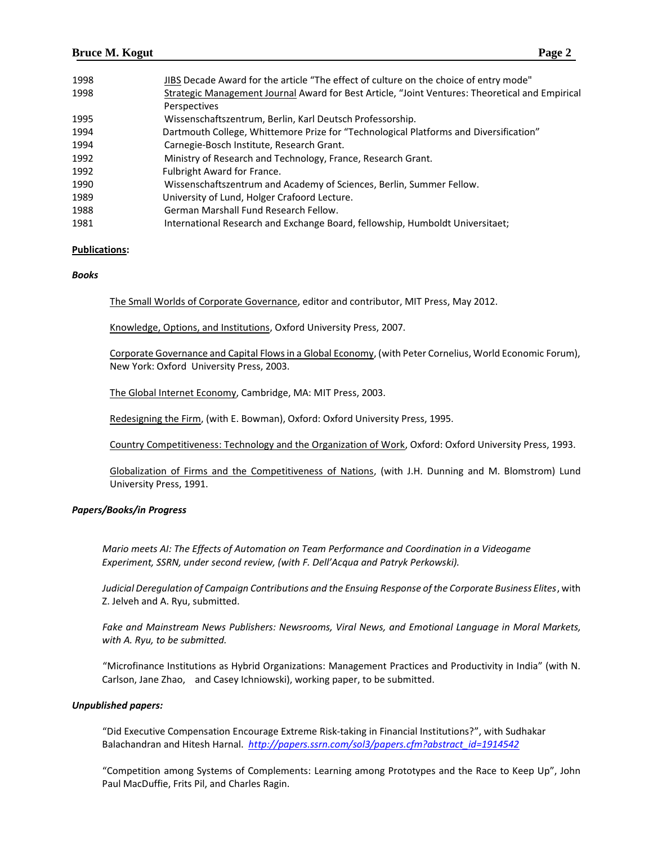| 1998 | JIBS Decade Award for the article "The effect of culture on the choice of entry mode"           |
|------|-------------------------------------------------------------------------------------------------|
| 1998 | Strategic Management Journal Award for Best Article, "Joint Ventures: Theoretical and Empirical |
|      | Perspectives                                                                                    |
| 1995 | Wissenschaftszentrum, Berlin, Karl Deutsch Professorship.                                       |
| 1994 | Dartmouth College, Whittemore Prize for "Technological Platforms and Diversification"           |
| 1994 | Carnegie-Bosch Institute, Research Grant.                                                       |
| 1992 | Ministry of Research and Technology, France, Research Grant.                                    |
| 1992 | <b>Fulbright Award for France.</b>                                                              |
| 1990 | Wissenschaftszentrum and Academy of Sciences, Berlin, Summer Fellow.                            |
| 1989 | University of Lund, Holger Crafoord Lecture.                                                    |
| 1988 | German Marshall Fund Research Fellow.                                                           |
| 1981 | International Research and Exchange Board, fellowship, Humboldt Universitaet;                   |

#### **Publications:**

#### *Books*

The Small Worlds of Corporate Governance, editor and contributor, MIT Press, May 2012.

Knowledge, Options, and Institutions, Oxford University Press, 2007.

Corporate Governance and Capital Flows in a Global Economy, (with Peter Cornelius, World Economic Forum), New York: Oxford University Press, 2003.

The Global Internet Economy, Cambridge, MA: MIT Press, 2003.

Redesigning the Firm, (with E. Bowman), Oxford: Oxford University Press, 1995.

Country Competitiveness: Technology and the Organization of Work, Oxford: Oxford University Press, 1993.

Globalization of Firms and the Competitiveness of Nations, (with J.H. Dunning and M. Blomstrom) Lund University Press, 1991.

## *Papers/Books/in Progress*

*Mario meets AI: The Effects of Automation on Team Performance and Coordination in a Videogame Experiment, SSRN, under second review, (with F. Dell'Acqua and Patryk Perkowski).* 

*Judicial Deregulation of Campaign Contributions and the Ensuing Response of the Corporate Business Elites*, with Z. Jelveh and A. Ryu, submitted.

*Fake and Mainstream News Publishers: Newsrooms, Viral News, and Emotional Language in Moral Markets, with A. Ryu, to be submitted.*

"Microfinance Institutions as Hybrid Organizations: Management Practices and Productivity in India" (with N. Carlson, Jane Zhao, and Casey Ichniowski), working paper, to be submitted.

#### *Unpublished papers:*

"Did Executive Compensation Encourage Extreme Risk-taking in Financial Institutions?", with Sudhakar Balachandran and Hitesh Harnal. *[http://papers.ssrn.com/sol3/papers.cfm?abstract\\_id=1914542](http://papers.ssrn.com/sol3/papers.cfm?abstract_id=1914542)*

"Competition among Systems of Complements: Learning among Prototypes and the Race to Keep Up", John Paul MacDuffie, Frits Pil, and Charles Ragin.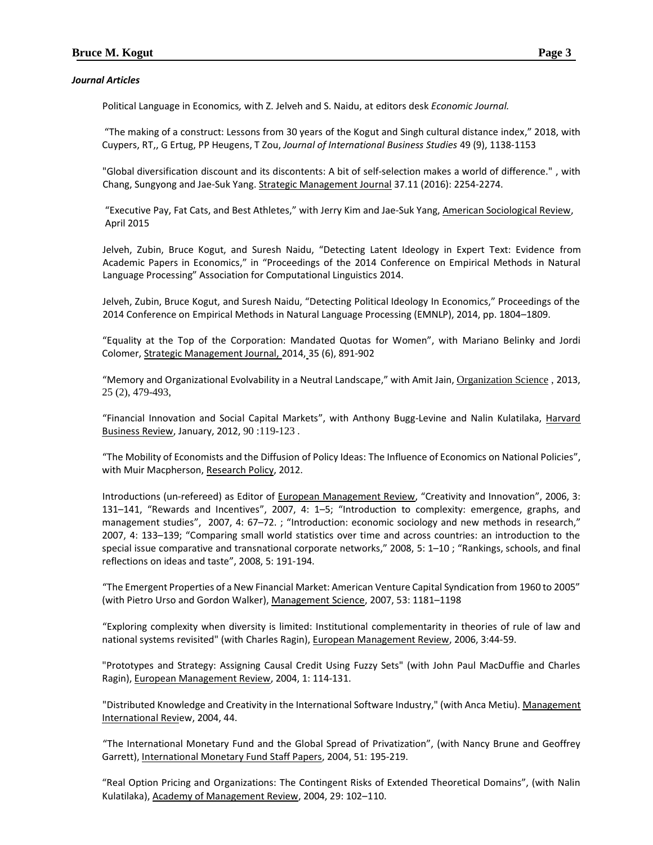## *Journal Articles*

Political Language in Economics*,* with Z. Jelveh and S. Naidu, at editors desk *Economic Journal.*

"The making of a construct: Lessons from 30 years of the Kogut and Singh cultural distance index," 2018, with Cuypers, RT,, G Ertug, PP Heugens, T Zou, *Journal of International Business Studies* 49 (9), 1138-1153

"Global diversification discount and its discontents: A bit of self‐selection makes a world of difference." , with Chang, Sungyong and Jae‐Suk Yang. Strategic Management Journal 37.11 (2016): 2254-2274.

"Executive Pay, Fat Cats, and Best Athletes," with Jerry Kim and Jae-Suk Yang, American Sociological Review, April 2015

Jelveh, Zubin, Bruce Kogut, and Suresh Naidu, "Detecting Latent Ideology in Expert Text: Evidence from Academic Papers in Economics," in "Proceedings of the 2014 Conference on Empirical Methods in Natural Language Processing" Association for Computational Linguistics 2014.

Jelveh, Zubin, Bruce Kogut, and Suresh Naidu, "Detecting Political Ideology In Economics," Proceedings of the 2014 Conference on Empirical Methods in Natural Language Processing (EMNLP), 2014, pp. 1804–1809.

"Equality at the Top of the Corporation: Mandated Quotas for Women", with Mariano Belinky and Jordi Colomer, Strategic Management Journal, 2014, 35 (6), 891-902

"Memory and Organizational Evolvability in a Neutral Landscape," with Amit Jain, Organization Science , 2013, 25 (2), 479-493,

"Financial Innovation and Social Capital Markets", with Anthony Bugg-Levine and Nalin Kulatilaka, Harvard Business Review, January, 2012, 90 :119-123 .

"The Mobility of Economists and the Diffusion of Policy Ideas: The Influence of Economics on National Policies", with Muir Macpherson, Research Policy, 2012.

Introductions (un-refereed) as Editor of European Management Review, "Creativity and Innovation", 2006, 3: 131–141, "Rewards and Incentives", 2007, 4: 1–5; "Introduction to complexity: emergence, graphs, and management studies", 2007, 4: 67–72. ; "Introduction: economic sociology and new methods in research," 2007, 4: 133–139; "Comparing small world statistics over time and across countries: an introduction to the special issue comparative and transnational corporate networks," 2008, 5: 1–10 ; "Rankings, schools, and final reflections on ideas and taste", 2008, 5: 191-194.

"The Emergent Properties of a New Financial Market: American Venture Capital Syndication from 1960 to 2005" (with Pietro Urso and Gordon Walker), Management Science, 2007, 53: 1181–1198

"Exploring complexity when diversity is limited: Institutional complementarity in theories of rule of law and national systems revisited" (with Charles Ragin), European Management Review, 2006, 3:44-59.

"Prototypes and Strategy: Assigning Causal Credit Using Fuzzy Sets" (with John Paul MacDuffie and Charles Ragin), European Management Review, 2004, 1: 114-131.

"Distributed Knowledge and Creativity in the International Software Industry," (with Anca Metiu). Management International Review, 2004, 44.

"The International Monetary Fund and the Global Spread of Privatization", (with Nancy Brune and Geoffrey Garrett), International Monetary Fund Staff Papers, 2004, 51: 195-219.

"Real Option Pricing and Organizations: The Contingent Risks of Extended Theoretical Domains", (with Nalin Kulatilaka), Academy of Management Review, 2004, 29: 102–110.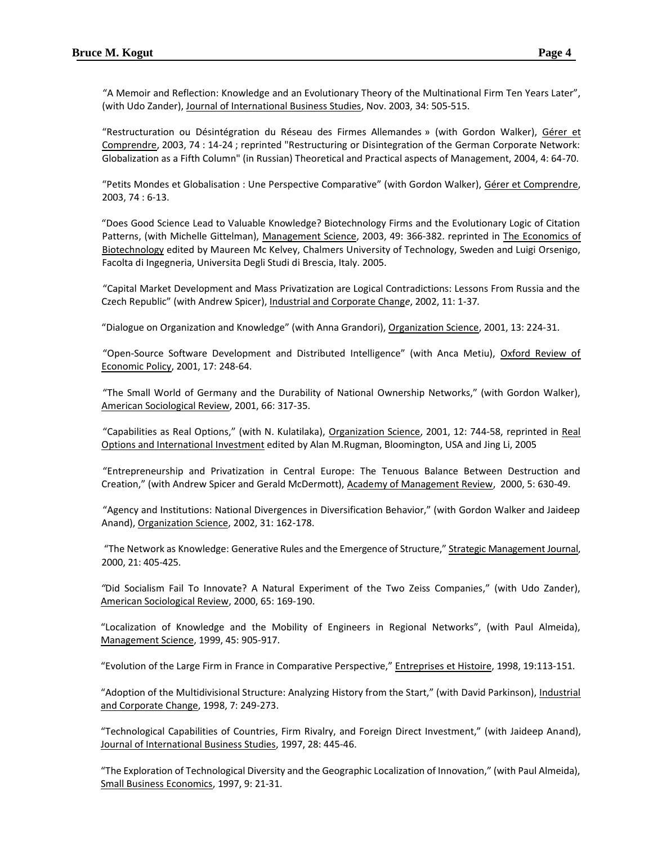"A Memoir and Reflection: Knowledge and an Evolutionary Theory of the Multinational Firm Ten Years Later", (with Udo Zander), Journal of International Business Studies, Nov. 2003, 34: 505-515.

"Restructuration ou Désintégration du Réseau des Firmes Allemandes » (with Gordon Walker), Gérer et Comprendre, 2003, 74 : 14-24 ; reprinted "Restructuring or Disintegration of the German Corporate Network: Globalization as a Fifth Column" (in Russian) Theoretical and Practical aspects of Management, 2004, 4: 64-70.

"Petits Mondes et Globalisation : Une Perspective Comparative" (with Gordon Walker), Gérer et Comprendre, 2003, 74 : 6-13.

"Does Good Science Lead to Valuable Knowledge? Biotechnology Firms and the Evolutionary Logic of Citation Patterns, (with Michelle Gittelman), Management Science, 2003, 49: 366-382. reprinted in The Economics of Biotechnology edited by Maureen Mc Kelvey, Chalmers University of Technology, Sweden and Luigi Orsenigo, Facolta di Ingegneria, Universita Degli Studi di Brescia, Italy. 2005.

"Capital Market Development and Mass Privatization are Logical Contradictions: Lessons From Russia and the Czech Republic" (with Andrew Spicer), Industrial and Corporate Chang*e*, 2002, 11: 1-37*.*

"Dialogue on Organization and Knowledge" (with Anna Grandori), Organization Science, 2001, 13: 224-31.

"Open-Source Software Development and Distributed Intelligence" (with Anca Metiu), Oxford Review of Economic Policy, 2001, 17: 248-64.

"The Small World of Germany and the Durability of National Ownership Networks," (with Gordon Walker), American Sociological Review, 2001, 66: 317-35.

"Capabilities as Real Options," (with N. Kulatilaka), Organization Science, 2001, 12: 744-58, reprinted in Real Options and International Investment edited by Alan M.Rugman, Bloomington, USA and Jing Li, 2005

"Entrepreneurship and Privatization in Central Europe: The Tenuous Balance Between Destruction and Creation," (with Andrew Spicer and Gerald McDermott), Academy of Management Review, 2000, 5: 630-49.

"Agency and Institutions: National Divergences in Diversification Behavior," (with Gordon Walker and Jaideep Anand), Organization Science, 2002, 31: 162-178.

"The Network as Knowledge: Generative Rules and the Emergence of Structure," Strategic Management Journal, 2000, 21: 405-425.

*"*Did Socialism Fail To Innovate? A Natural Experiment of the Two Zeiss Companies," (with Udo Zander), American Sociological Review, 2000, 65: 169-190.

"Localization of Knowledge and the Mobility of Engineers in Regional Networks", (with Paul Almeida), Management Science, 1999, 45: 905-917.

"Evolution of the Large Firm in France in Comparative Perspective," Entreprises et Histoire, 1998, 19:113-151.

"Adoption of the Multidivisional Structure: Analyzing History from the Start," (with David Parkinson), Industrial and Corporate Change, 1998, 7: 249-273.

"Technological Capabilities of Countries, Firm Rivalry, and Foreign Direct Investment," (with Jaideep Anand), Journal of International Business Studies, 1997, 28: 445-46.

"The Exploration of Technological Diversity and the Geographic Localization of Innovation," (with Paul Almeida), Small Business Economics, 1997, 9: 21-31.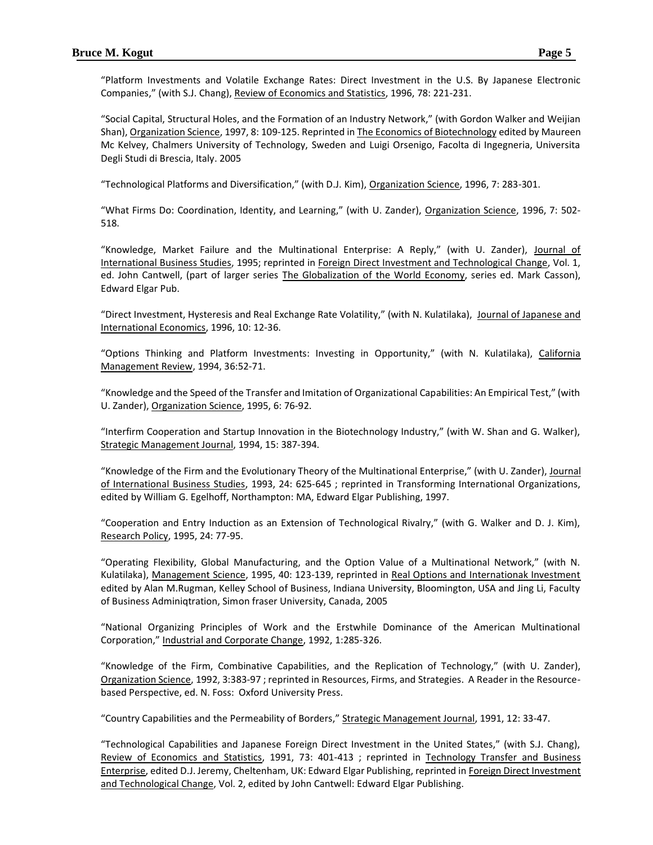"Platform Investments and Volatile Exchange Rates: Direct Investment in the U.S. By Japanese Electronic Companies," (with S.J. Chang), Review of Economics and Statistics, 1996, 78: 221-231.

"Social Capital, Structural Holes, and the Formation of an Industry Network," (with Gordon Walker and Weijian Shan), Organization Science, 1997, 8: 109-125. Reprinted in The Economics of Biotechnology edited by Maureen Mc Kelvey, Chalmers University of Technology, Sweden and Luigi Orsenigo, Facolta di Ingegneria, Universita Degli Studi di Brescia, Italy. 2005

"Technological Platforms and Diversification," (with D.J. Kim), Organization Science, 1996, 7: 283-301.

"What Firms Do: Coordination, Identity, and Learning," (with U. Zander), Organization Science, 1996, 7: 502- 518.

"Knowledge, Market Failure and the Multinational Enterprise: A Reply," (with U. Zander), Journal of International Business Studies, 1995; reprinted in Foreign Direct Investment and Technological Change, Vol. 1, ed. John Cantwell, (part of larger series The Globalization of the World Economy, series ed. Mark Casson), Edward Elgar Pub.

"Direct Investment, Hysteresis and Real Exchange Rate Volatility," (with N. Kulatilaka), Journal of Japanese and International Economics, 1996, 10: 12-36.

"Options Thinking and Platform Investments: Investing in Opportunity," (with N. Kulatilaka), California Management Review, 1994, 36:52-71.

"Knowledge and the Speed of the Transfer and Imitation of Organizational Capabilities: An Empirical Test," (with U. Zander), Organization Science, 1995, 6: 76-92.

"Interfirm Cooperation and Startup Innovation in the Biotechnology Industry," (with W. Shan and G. Walker), Strategic Management Journal, 1994, 15: 387-394.

"Knowledge of the Firm and the Evolutionary Theory of the Multinational Enterprise," (with U. Zander), Journal of International Business Studies, 1993, 24: 625-645 ; reprinted in Transforming International Organizations, edited by William G. Egelhoff, Northampton: MA, Edward Elgar Publishing, 1997.

"Cooperation and Entry Induction as an Extension of Technological Rivalry," (with G. Walker and D. J. Kim), Research Policy, 1995, 24: 77-95.

"Operating Flexibility, Global Manufacturing, and the Option Value of a Multinational Network," (with N. Kulatilaka), Management Science, 1995, 40: 123-139, reprinted in Real Options and Internationak Investment edited by Alan M.Rugman, Kelley School of Business, Indiana University, Bloomington, USA and Jing Li, Faculty of Business Adminiqtration, Simon fraser University, Canada, 2005

"National Organizing Principles of Work and the Erstwhile Dominance of the American Multinational Corporation," Industrial and Corporate Change, 1992, 1:285-326.

"Knowledge of the Firm, Combinative Capabilities, and the Replication of Technology," (with U. Zander), Organization Science, 1992, 3:383-97 ; reprinted in Resources, Firms, and Strategies. A Reader in the Resourcebased Perspective, ed. N. Foss: Oxford University Press.

"Country Capabilities and the Permeability of Borders," Strategic Management Journal, 1991, 12: 33-47.

"Technological Capabilities and Japanese Foreign Direct Investment in the United States," (with S.J. Chang), Review of Economics and Statistics, 1991, 73: 401-413 ; reprinted in Technology Transfer and Business Enterprise, edited D.J. Jeremy, Cheltenham, UK: Edward Elgar Publishing, reprinted in Foreign Direct Investment and Technological Change, Vol. 2, edited by John Cantwell: Edward Elgar Publishing.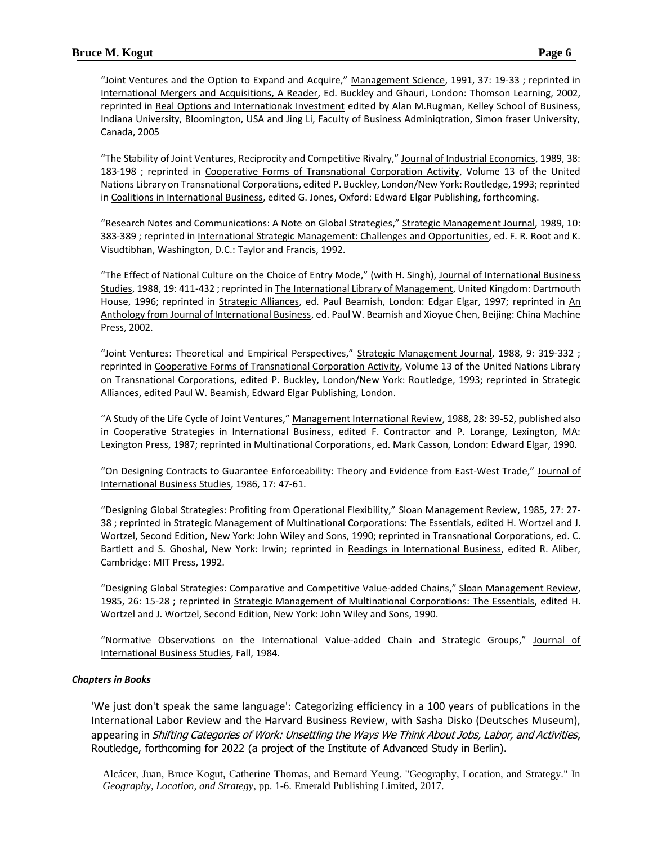"Joint Ventures and the Option to Expand and Acquire," Management Science, 1991, 37: 19-33 ; reprinted in International Mergers and Acquisitions, A Reader, Ed. Buckley and Ghauri, London: Thomson Learning, 2002, reprinted in Real Options and Internationak Investment edited by Alan M.Rugman, Kelley School of Business, Indiana University, Bloomington, USA and Jing Li, Faculty of Business Adminiqtration, Simon fraser University, Canada, 2005

"The Stability of Joint Ventures, Reciprocity and Competitive Rivalry," Journal of Industrial Economics, 1989, 38: 183-198 ; reprinted in Cooperative Forms of Transnational Corporation Activity, Volume 13 of the United Nations Library on Transnational Corporations, edited P. Buckley, London/New York: Routledge, 1993; reprinted in Coalitions in International Business, edited G. Jones, Oxford: Edward Elgar Publishing, forthcoming.

"Research Notes and Communications: A Note on Global Strategies," Strategic Management Journal, 1989, 10: 383-389 ; reprinted in International Strategic Management: Challenges and Opportunities, ed. F. R. Root and K. Visudtibhan, Washington, D.C.: Taylor and Francis, 1992.

"The Effect of National Culture on the Choice of Entry Mode," (with H. Singh), Journal of International Business Studies, 1988, 19: 411-432 ; reprinted in The International Library of Management, United Kingdom: Dartmouth House, 1996; reprinted in Strategic Alliances, ed. Paul Beamish, London: Edgar Elgar, 1997; reprinted in An Anthology from Journal of International Business, ed. Paul W. Beamish and Xioyue Chen, Beijing: China Machine Press, 2002.

"Joint Ventures: Theoretical and Empirical Perspectives," Strategic Management Journal, 1988, 9: 319-332 ; reprinted in Cooperative Forms of Transnational Corporation Activity, Volume 13 of the United Nations Library on Transnational Corporations, edited P. Buckley, London/New York: Routledge, 1993; reprinted in Strategic Alliances, edited Paul W. Beamish, Edward Elgar Publishing, London.

"A Study of the Life Cycle of Joint Ventures," Management International Review, 1988, 28: 39-52, published also in Cooperative Strategies in International Business, edited F. Contractor and P. Lorange, Lexington, MA: Lexington Press, 1987; reprinted in Multinational Corporations, ed. Mark Casson, London: Edward Elgar, 1990.

"On Designing Contracts to Guarantee Enforceability: Theory and Evidence from East-West Trade," Journal of International Business Studies, 1986, 17: 47-61.

"Designing Global Strategies: Profiting from Operational Flexibility," Sloan Management Review, 1985, 27: 27- 38 ; reprinted in Strategic Management of Multinational Corporations: The Essentials, edited H. Wortzel and J. Wortzel, Second Edition, New York: John Wiley and Sons, 1990; reprinted in Transnational Corporations, ed. C. Bartlett and S. Ghoshal, New York: Irwin; reprinted in Readings in International Business, edited R. Aliber, Cambridge: MIT Press, 1992.

"Designing Global Strategies: Comparative and Competitive Value-added Chains," Sloan Management Review, 1985, 26: 15-28 ; reprinted in Strategic Management of Multinational Corporations: The Essentials, edited H. Wortzel and J. Wortzel, Second Edition, New York: John Wiley and Sons, 1990.

"Normative Observations on the International Value-added Chain and Strategic Groups," Journal of International Business Studies, Fall, 1984.

## *Chapters in Books*

'We just don't speak the same language': Categorizing efficiency in a 100 years of publications in the International Labor Review and the Harvard Business Review, with Sasha Disko (Deutsches Museum), appearing in *Shifting Categories of Work: Unsettling the Ways We Think About Jobs, Labor, and Activities*, Routledge, forthcoming for 2022 (a project of the Institute of Advanced Study in Berlin).

Alcácer, Juan, Bruce Kogut, Catherine Thomas, and Bernard Yeung. "Geography, Location, and Strategy." In *Geography, Location, and Strategy*, pp. 1-6. Emerald Publishing Limited, 2017.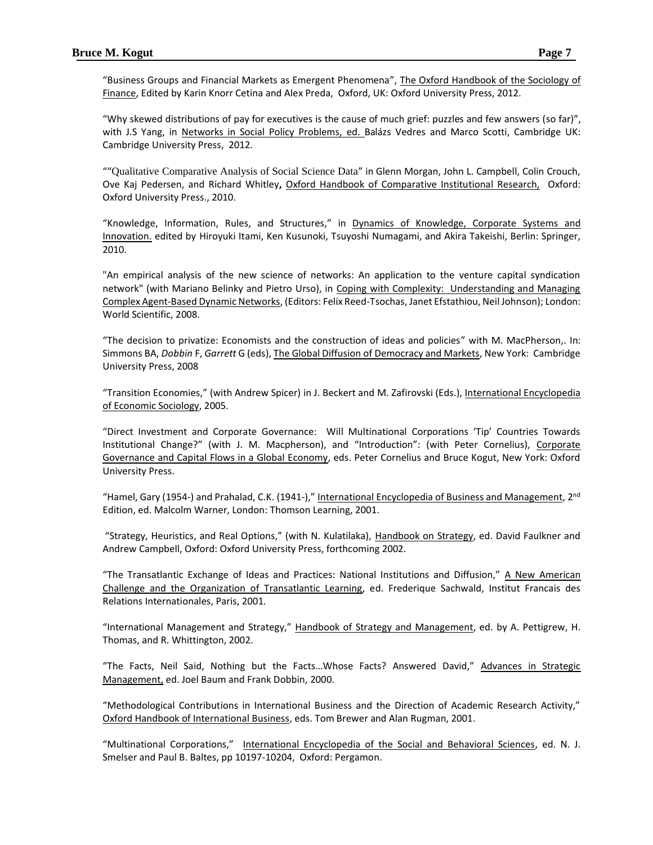"Business Groups and Financial Markets as Emergent Phenomena", The Oxford Handbook of the Sociology of Finance, Edited by Karin Knorr Cetina and Alex Preda, [Oxford,](http://ukcatalogue.oup.com/category/academic/series/business/ohbm.do) UK: Oxford University Press, 2012.

"Why skewed distributions of pay for executives is the cause of much grief: puzzles and few answers (so far)", with J.S Yang, in Networks in Social Policy Problems, ed. Balázs Vedres and Marco Scotti, Cambridge UK: Cambridge University Press, 2012.

""Qualitative Comparative Analysis of Social Science Data" in Glenn Morgan, John L. Campbell, Colin Crouch, Ove Kaj Pedersen, and Richard Whitley**,** Oxford Handbook of Comparative Institutional Research, Oxford: Oxford University Press., 2010.

"Knowledge, Information, Rules, and Structures," in Dynamics of Knowledge, Corporate Systems and Innovation. edited by [Hiroyuki Itami,](http://www.amazon.com/s/ref=ntt_athr_dp_sr_1?_encoding=UTF8&sort=relevancerank&search-alias=books&ie=UTF8&field-author=Hiroyuki%20Itami) [Ken Kusunoki,](http://www.amazon.com/s/ref=ntt_athr_dp_sr_2?_encoding=UTF8&sort=relevancerank&search-alias=books&ie=UTF8&field-author=Ken%20Kusunoki) [Tsuyoshi Numagami,](http://www.amazon.com/s/ref=ntt_athr_dp_sr_3?_encoding=UTF8&sort=relevancerank&search-alias=books&ie=UTF8&field-author=Tsuyoshi%20Numagami) and [Akira Takeishi,](http://www.amazon.com/s/ref=ntt_athr_dp_sr_4?_encoding=UTF8&sort=relevancerank&search-alias=books&ie=UTF8&field-author=Akira%20Takeishi) Berlin: Springer, 2010.

"An empirical analysis of the new science of networks: An application to the venture capital syndication network" (with Mariano Belinky and Pietro Urso), in Coping with Complexity: Understanding and Managing Complex Agent-Based Dynamic Networks, (Editors: Felix Reed-Tsochas, Janet Efstathiou, Neil Johnson); London: World Scientific, 2008.

"The decision to privatize: Economists and the construction of ideas and policies" with M. MacPherson,. In: Simmons BA, *Dobbin* F, *Garrett* G (eds), The Global Diffusion of Democracy and Markets, New York: Cambridge University Press, 2008

"Transition Economies," (with Andrew Spicer) in J. Beckert and M. Zafirovski (Eds.), International Encyclopedia of Economic Sociology, 2005.

"Direct Investment and Corporate Governance: Will Multinational Corporations 'Tip' Countries Towards Institutional Change?" (with J. M. Macpherson), and "Introduction": (with Peter Cornelius), Corporate Governance and Capital Flows in a Global Economy, eds. Peter Cornelius and Bruce Kogut, New York: Oxford University Press.

"Hamel, Gary (1954-) and Prahalad, C.K. (1941-)," International Encyclopedia of Business and Management, 2<sup>nd</sup> Edition, ed. Malcolm Warner, London: Thomson Learning, 2001.

"Strategy, Heuristics, and Real Options," (with N. Kulatilaka), Handbook on Strategy, ed. David Faulkner and Andrew Campbell, Oxford: Oxford University Press, forthcoming 2002.

"The Transatlantic Exchange of Ideas and Practices: National Institutions and Diffusion," A New American Challenge and the Organization of Transatlantic Learning, ed. Frederique Sachwald, Institut Francais des Relations Internationales, Paris, 2001.

"International Management and Strategy," Handbook of Strategy and Management, ed. by A. Pettigrew, H. Thomas, and R. Whittington, 2002.

"The Facts, Neil Said, Nothing but the Facts... Whose Facts? Answered David," Advances in Strategic Management, ed. Joel Baum and Frank Dobbin, 2000.

"Methodological Contributions in International Business and the Direction of Academic Research Activity," Oxford Handbook of International Business, eds. Tom Brewer and Alan Rugman, 2001.

"Multinational Corporations," International Encyclopedia of the Social and Behavioral Sciences, ed. N. J. Smelser and Paul B. Baltes, pp 10197-10204, Oxford: Pergamon.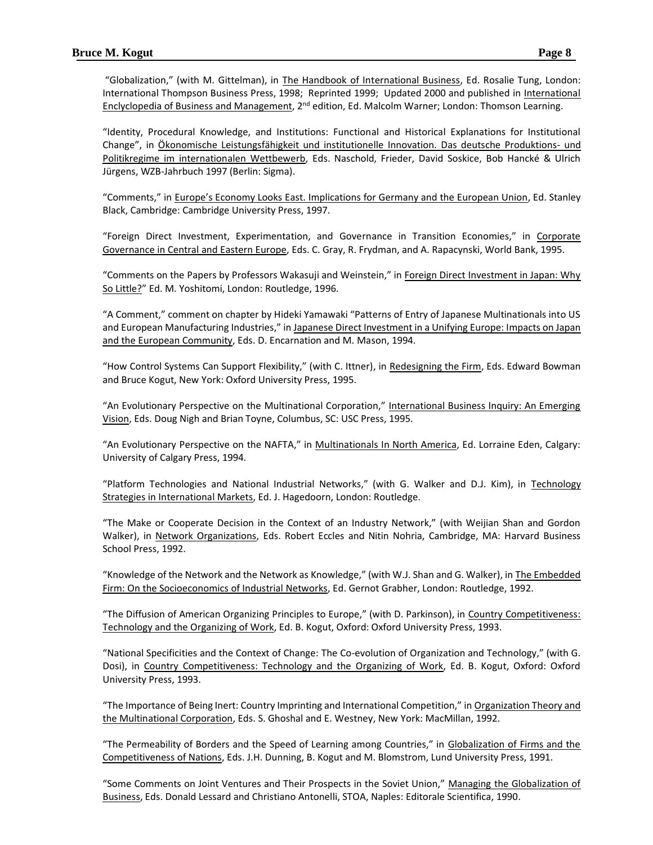"Globalization," (with M. Gittelman), in The Handbook of International Business, Ed. Rosalie Tung, London: International Thompson Business Press, 1998; Reprinted 1999; Updated 2000 and published in International Enclyclopedia of Business and Management, 2<sup>nd</sup> edition, Ed. Malcolm Warner; London: Thomson Learning.

"Identity, Procedural Knowledge, and Institutions: Functional and Historical Explanations for Institutional Change", in Ökonomische Leistungsfähigkeit und institutionelle Innovation. Das deutsche Produktions- und Politikregime im internationalen Wettbewerb, Eds. Naschold, Frieder, David Soskice, Bob Hancké & Ulrich Jürgens, WZB-Jahrbuch 1997 (Berlin: Sigma).

"Comments," in Europe's Economy Looks East. Implications for Germany and the European Union, Ed. Stanley Black, Cambridge: Cambridge University Press, 1997.

"Foreign Direct Investment, Experimentation, and Governance in Transition Economies," in Corporate Governance in Central and Eastern Europe, Eds. C. Gray, R. Frydman, and A. Rapacynski, World Bank, 1995.

"Comments on the Papers by Professors Wakasuji and Weinstein," in Foreign Direct Investment in Japan: Why So Little?" Ed. M. Yoshitomi, London: Routledge, 1996.

"A Comment," comment on chapter by Hideki Yamawaki "Patterns of Entry of Japanese Multinationals into US and European Manufacturing Industries," in Japanese Direct Investment in a Unifying Europe: Impacts on Japan and the European Community, Eds. D. Encarnation and M. Mason, 1994.

"How Control Systems Can Support Flexibility," (with C. Ittner), in Redesigning the Firm, Eds. Edward Bowman and Bruce Kogut, New York: Oxford University Press, 1995.

"An Evolutionary Perspective on the Multinational Corporation," International Business Inquiry: An Emerging Vision, Eds. Doug Nigh and Brian Toyne, Columbus, SC: USC Press, 1995.

"An Evolutionary Perspective on the NAFTA," in Multinationals In North America, Ed. Lorraine Eden, Calgary: University of Calgary Press, 1994.

"Platform Technologies and National Industrial Networks," (with G. Walker and D.J. Kim), in Technology Strategies in International Markets, Ed. J. Hagedoorn, London: Routledge.

"The Make or Cooperate Decision in the Context of an Industry Network," (with Weijian Shan and Gordon Walker), in Network Organizations, Eds. Robert Eccles and Nitin Nohria, Cambridge, MA: Harvard Business School Press, 1992.

"Knowledge of the Network and the Network as Knowledge," (with W.J. Shan and G. Walker), in **The Embedded** Firm: On the Socioeconomics of Industrial Networks, Ed. Gernot Grabher, London: Routledge, 1992.

"The Diffusion of American Organizing Principles to Europe," (with D. Parkinson), in Country Competitiveness: Technology and the Organizing of Work, Ed. B. Kogut, Oxford: Oxford University Press, 1993.

"National Specificities and the Context of Change: The Co-evolution of Organization and Technology," (with G. Dosi), in Country Competitiveness: Technology and the Organizing of Work, Ed. B. Kogut, Oxford: Oxford University Press, 1993.

"The Importance of Being Inert: Country Imprinting and International Competition," in Organization Theory and the Multinational Corporation, Eds. S. Ghoshal and E. Westney, New York: MacMillan, 1992.

"The Permeability of Borders and the Speed of Learning among Countries," in Globalization of Firms and the Competitiveness of Nations, Eds. J.H. Dunning, B. Kogut and M. Blomstrom, Lund University Press, 1991.

"Some Comments on Joint Ventures and Their Prospects in the Soviet Union," Managing the Globalization of Business, Eds. Donald Lessard and Christiano Antonelli, STOA, Naples: Editorale Scientifica, 1990.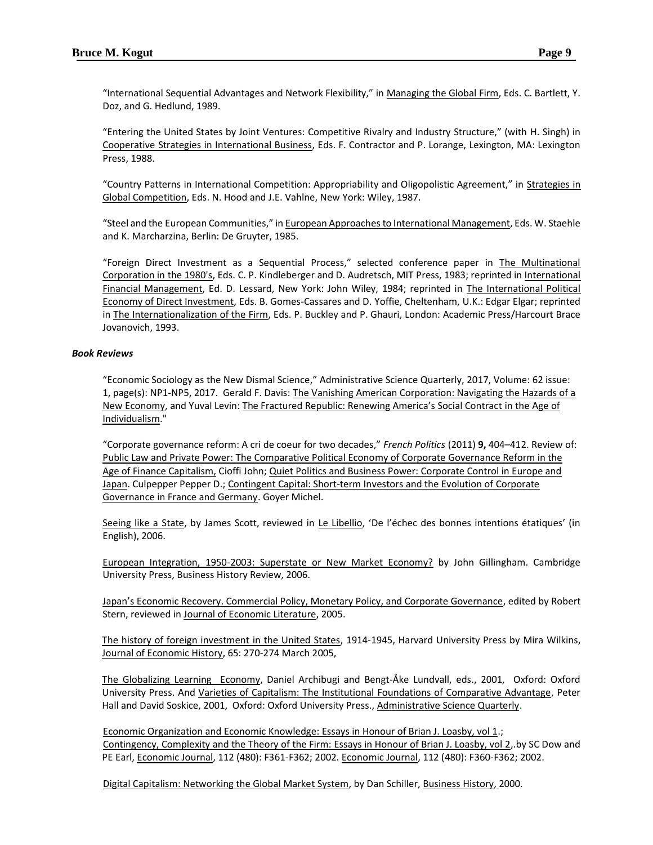"International Sequential Advantages and Network Flexibility," in Managing the Global Firm, Eds. C. Bartlett, Y. Doz, and G. Hedlund, 1989.

"Entering the United States by Joint Ventures: Competitive Rivalry and Industry Structure," (with H. Singh) in Cooperative Strategies in International Business, Eds. F. Contractor and P. Lorange, Lexington, MA: Lexington Press, 1988.

"Country Patterns in International Competition: Appropriability and Oligopolistic Agreement," in Strategies in Global Competition, Eds. N. Hood and J.E. Vahlne, New York: Wiley, 1987.

"Steel and the European Communities," in European Approaches to International Management, Eds. W. Staehle and K. Marcharzina, Berlin: De Gruyter, 1985.

"Foreign Direct Investment as a Sequential Process," selected conference paper in The Multinational Corporation in the 1980's, Eds. C. P. Kindleberger and D. Audretsch, MIT Press, 1983; reprinted in International Financial Management, Ed. D. Lessard, New York: John Wiley, 1984; reprinted in The International Political Economy of Direct Investment, Eds. B. Gomes-Cassares and D. Yoffie, Cheltenham, U.K.: Edgar Elgar; reprinted in The Internationalization of the Firm, Eds. P. Buckley and P. Ghauri, London: Academic Press/Harcourt Brace Jovanovich, 1993.

## *Book Reviews*

"Economic Sociology as the New Dismal Science," Administrative Science Quarterly, 2017, Volume: 62 issue: 1, page(s): NP1-NP5, 2017. Gerald F. Davis: The Vanishing American Corporation: Navigating the Hazards of a New Economy, and Yuval Levin: The Fractured Republic: Renewing America's Social Contract in the Age of Individualism."

"Corporate governance reform: A cri de coeur for two decades," *French Politics* (2011) **9,** 404–412. Review of: Public Law and Private Power: The Comparative Political Economy of Corporate Governance Reform in the Age of Finance Capitalism, Cioffi John; Quiet Politics and Business Power: Corporate Control in Europe and Japan. Culpepper Pepper D.; Contingent Capital: Short-term Investors and the Evolution of Corporate Governance in France and Germany. Goyer Michel.

Seeing like a State, by James Scott, reviewed in Le Libellio, 'De l'échec des bonnes intentions étatiques' (in English), 2006.

European Integration, 1950-2003: Superstate or New Market Economy? by [John Gillingham.](http://www.amazon.com/exec/obidos/search-handle-url/index=books&field-author-exact=John%20Gillingham/104-3159908-8132730) Cambridge University Press, Business History Review, 2006.

Japan's Economic Recovery. Commercial Policy, Monetary Policy, and Corporate Governance, edited by Robert Stern, reviewed in Journal of Economic Literature, 2005.

The history of foreign investment in the United States, 1914-1945, Harvard University Press by Mira Wilkins, Journal of Economic History, 65: 270-274 March 2005,

The Globalizing Learning Economy, Daniel Archibugi and Bengt-Åke Lundvall, eds., 2001, Oxford: Oxford University Press. And Varieties of Capitalism: The Institutional Foundations of Comparative Advantage, Peter Hall and David Soskice, 2001, Oxford: Oxford University Press., Administrative Science Quarterly.

Economic Organization and Economic Knowledge: Essays in Honour of Brian J. Loasby, vol 1.; Contingency, Complexity and the Theory of the Firm: Essays in Honour of Brian J. Loasby, vol 2,.by SC Dow and PE Earl, Economic Journal, 112 (480): F361-F362; 2002. Economic Journal, 112 (480): F360-F362; 2002.

Digital Capitalism: Networking the Global Market System, by Dan Schiller, Business History, 2000.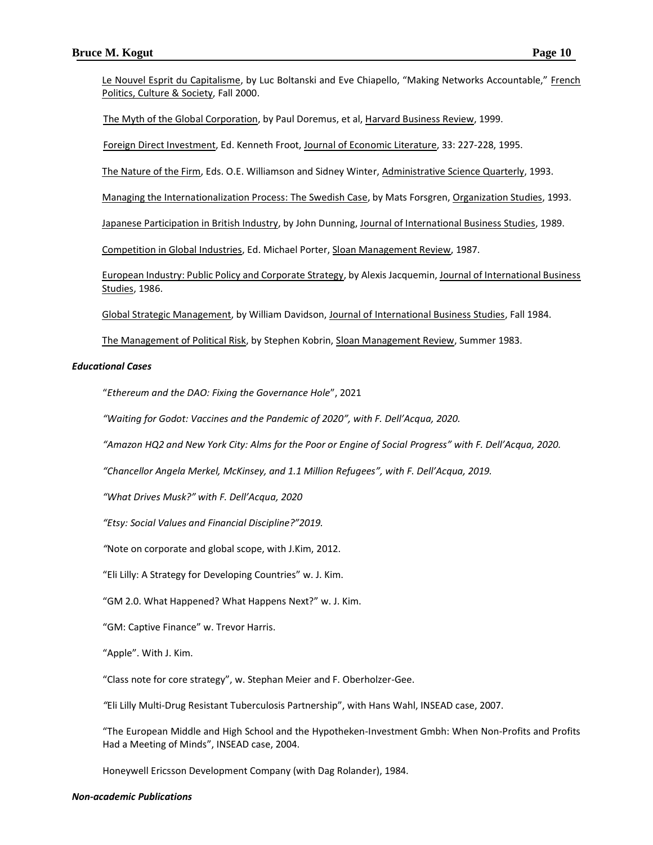Le Nouvel Esprit du Capitalisme, by Luc Boltanski and Eve Chiapello, "Making Networks Accountable," French Politics, Culture & Society, Fall 2000.

The Myth of the Global Corporation, by Paul Doremus, et al, Harvard Business Review, 1999.

Foreign Direct Investment, Ed. Kenneth Froot, Journal of Economic Literature, 33: 227-228, 1995.

The Nature of the Firm, Eds. O.E. Williamson and Sidney Winter, Administrative Science Quarterly, 1993.

Managing the Internationalization Process: The Swedish Case, by Mats Forsgren, Organization Studies, 1993.

Japanese Participation in British Industry, by John Dunning, Journal of International Business Studies, 1989.

Competition in Global Industries, Ed. Michael Porter, Sloan Management Review, 1987.

European Industry: Public Policy and Corporate Strategy, by Alexis Jacquemin, Journal of International Business Studies, 1986.

Global Strategic Management, by William Davidson, Journal of International Business Studies, Fall 1984.

The Management of Political Risk, by Stephen Kobrin, Sloan Management Review, Summer 1983.

#### *Educational Cases*

"*Ethereum and the DAO: Fixing the Governance Hole*", 2021

*"Waiting for Godot: Vaccines and the Pandemic of 2020", with F. Dell'Acqua, 2020.*

*"Amazon HQ2 and New York City: Alms for the Poor or Engine of Social Progress" with F. Dell'Acqua, 2020.*

*"Chancellor Angela Merkel, McKinsey, and 1.1 Million Refugees", with F. Dell'Acqua, 2019.*

*"What Drives Musk?" with F. Dell'Acqua, 2020*

*"Etsy: Social Values and Financial Discipline?"2019.*

*"*Note on corporate and global scope, with J.Kim, 2012.

"Eli Lilly: A Strategy for Developing Countries" w. J. Kim.

"GM 2.0. What Happened? What Happens Next?" w. J. Kim.

"GM: Captive Finance" w. Trevor Harris.

"Apple". With J. Kim.

"Class note for core strategy", w. Stephan Meier and F. Oberholzer-Gee.

*"*Eli Lilly Multi-Drug Resistant Tuberculosis Partnership", with Hans Wahl, INSEAD case, 2007.

"The European Middle and High School and the Hypotheken-Investment Gmbh: When Non-Profits and Profits Had a Meeting of Minds", INSEAD case, 2004.

Honeywell Ericsson Development Company (with Dag Rolander), 1984.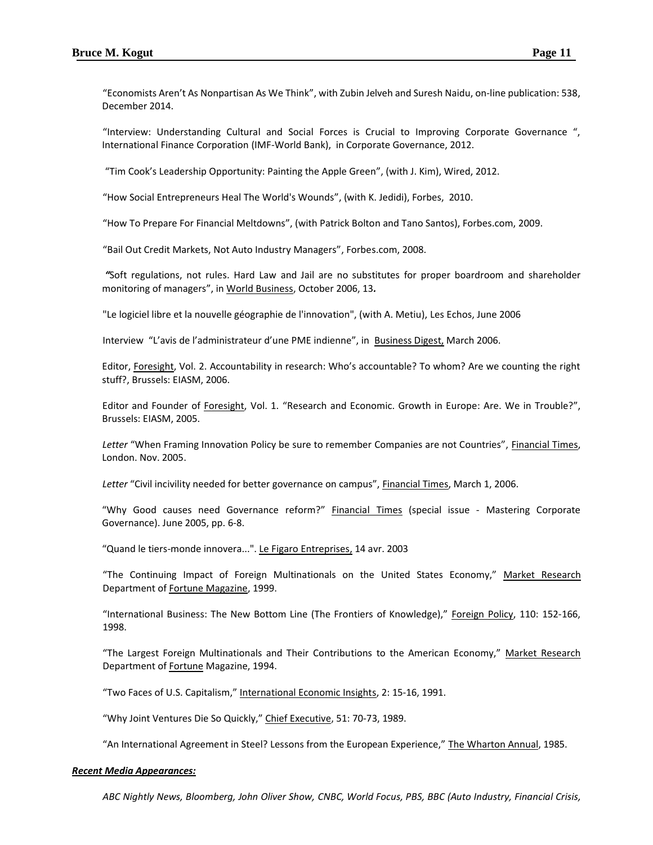["Economists Aren't As Nonpartisan As We Think"](http://fivethirtyeight.com/features/economists-arent-as-nonpartisan-as-we-think/), with Zubin Jelveh and Suresh Naidu, on-line publication: 538, December 2014.

"Interview: Understanding Cultural and Social Forces is Crucial to Improving Corporate Governance ", International Finance Corporation (IMF-World Bank), in Corporate Governance, 2012.

"Tim Cook's Leadership Opportunity: Painting the Apple Green", (with J. Kim), Wired, 2012.

"How Social Entrepreneurs Heal The World's Wounds", (with K. Jedidi), Forbes, 2010.

"How To Prepare For Financial Meltdowns", (with Patrick Bolton and Tano Santos), Forbes.com, 2009.

"Bail Out Credit Markets, Not Auto Industry Managers", Forbes.com, 2008.

*"*Soft regulations, not rules. Hard Law and Jail are no substitutes for proper boardroom and shareholder monitoring of managers", in World Business, October 2006, 13*.*

"Le logiciel libre et la nouvelle géographie de l'innovation", (with A. Metiu), Les Echos, June 2006

Interview "L'avis de l'administrateur d'une PME indienne", in Business Digest, March 2006.

Editor, Foresight, Vol. 2. Accountability in research: Who's accountable? To whom? Are we counting the right stuff?, Brussels: EIASM, 2006.

Editor and Founder of Foresight, Vol. 1. "Research and Economic. Growth in Europe: Are. We in Trouble?", Brussels: EIASM, 2005.

*Letter* "When Framing Innovation Policy be sure to remember Companies are not Countries", Financial Times, London. Nov. 2005.

*Letter* "Civil incivility needed for better governance on campus", Financial Times, March 1, 2006.

"Why Good causes need Governance reform?" Financial Times (special issue - Mastering Corporate Governance). June 2005, pp. 6-8.

"Quand le tiers-monde innovera...". Le Figaro Entreprises, 14 avr. 2003

"The Continuing Impact of Foreign Multinationals on the United States Economy," Market Research Department of Fortune Magazine, 1999.

"International Business: The New Bottom Line (The Frontiers of Knowledge)," Foreign Policy, 110: 152-166, 1998.

"The Largest Foreign Multinationals and Their Contributions to the American Economy," Market Research Department of Fortune Magazine, 1994.

"Two Faces of U.S. Capitalism," International Economic Insights, 2: 15-16, 1991.

"Why Joint Ventures Die So Quickly," Chief Executive, 51: 70-73, 1989.

"An International Agreement in Steel? Lessons from the European Experience," The Wharton Annual, 1985.

#### *Recent Media Appearances:*

*ABC Nightly News, Bloomberg, John Oliver Show, CNBC, World Focus, PBS, BBC (Auto Industry, Financial Crisis,*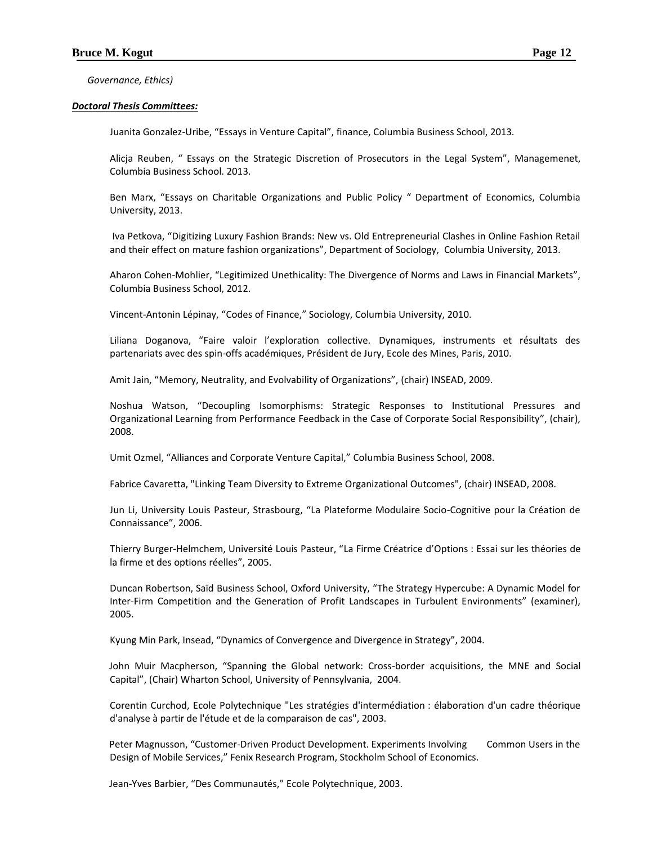*Governance, Ethics)*

## *Doctoral Thesis Committees:*

Juanita Gonzalez-Uribe, "Essays in Venture Capital", finance, Columbia Business School, 2013.

Alicja Reuben, " Essays on the Strategic Discretion of Prosecutors in the Legal System", Managemenet, Columbia Business School. 2013.

Ben Marx, "Essays on Charitable Organizations and Public Policy " Department of Economics, Columbia University, 2013.

Iva Petkova, "Digitizing Luxury Fashion Brands: New vs. Old Entrepreneurial Clashes in Online Fashion Retail and their effect on mature fashion organizations", Department of Sociology, Columbia University, 2013.

Aharon Cohen-Mohlier, "Legitimized Unethicality: The Divergence of Norms and Laws in Financial Markets", Columbia Business School, 2012.

Vincent-Antonin Lépinay, "Codes of Finance," Sociology, Columbia University, 2010.

Liliana Doganova, "Faire valoir l'exploration collective. Dynamiques, instruments et résultats des partenariats avec des spin-offs académiques, Président de Jury, Ecole des Mines, Paris, 2010.

Amit Jain, "Memory, Neutrality, and Evolvability of Organizations", (chair) INSEAD, 2009.

Noshua Watson, "Decoupling Isomorphisms: Strategic Responses to Institutional Pressures and Organizational Learning from Performance Feedback in the Case of Corporate Social Responsibility", (chair), 2008.

Umit Ozmel, "Alliances and Corporate Venture Capital," Columbia Business School, 2008.

Fabrice Cavaretta, "Linking Team Diversity to Extreme Organizational Outcomes", (chair) INSEAD, 2008.

Jun Li, University Louis Pasteur, Strasbourg, "La Plateforme Modulaire Socio-Cognitive pour la Création de Connaissance", 2006.

Thierry Burger-Helmchem, Université Louis Pasteur, "La Firme Créatrice d'Options : Essai sur les théories de la firme et des options réelles", 2005.

Duncan Robertson, Saïd Business School, Oxford University, "The Strategy Hypercube: A Dynamic Model for Inter-Firm Competition and the Generation of Profit Landscapes in Turbulent Environments" (examiner), 2005.

Kyung Min Park, Insead, "Dynamics of Convergence and Divergence in Strategy", 2004.

John Muir Macpherson, "Spanning the Global network: Cross-border acquisitions, the MNE and Social Capital", (Chair) Wharton School, University of Pennsylvania, 2004.

Corentin Curchod, Ecole Polytechnique "Les stratégies d'intermédiation : élaboration d'un cadre théorique d'analyse à partir de l'étude et de la comparaison de cas", 2003.

Peter Magnusson, "Customer-Driven Product Development. Experiments Involving Common Users in the Design of Mobile Services," Fenix Research Program, Stockholm School of Economics.

Jean-Yves Barbier, "Des Communautés," Ecole Polytechnique, 2003.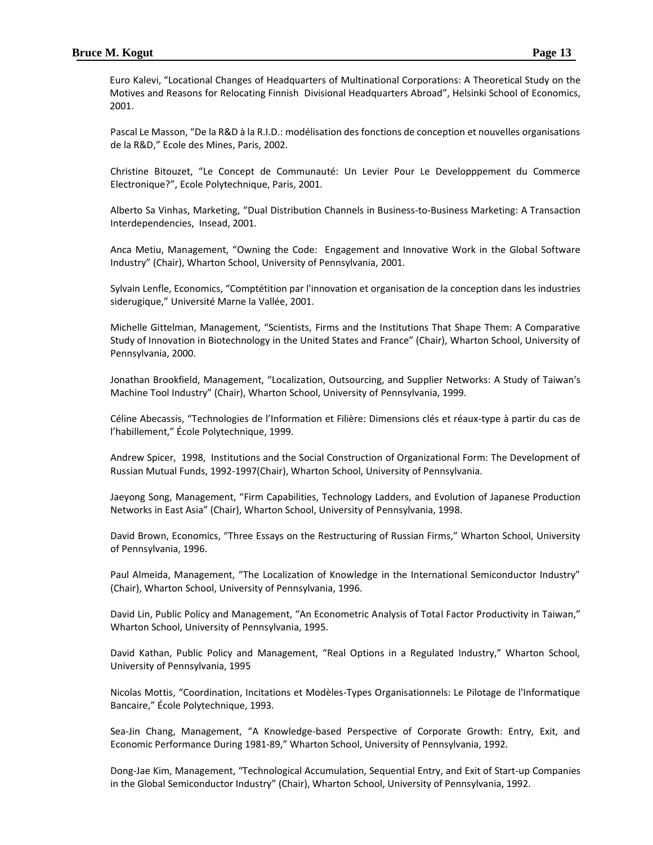Euro Kalevi, "Locational Changes of Headquarters of Multinational Corporations: A Theoretical Study on the Motives and Reasons for Relocating Finnish Divisional Headquarters Abroad", Helsinki School of Economics, 2001.

Pascal Le Masson, "De la R&D à la R.I.D.: modélisation des fonctions de conception et nouvelles organisations de la R&D," Ecole des Mines, Paris, 2002.

Christine Bitouzet, "Le Concept de Communauté: Un Levier Pour Le Developppement du Commerce Electronique?", Ecole Polytechnique, Paris, 2001.

Alberto Sa Vinhas, Marketing, "Dual Distribution Channels in Business-to-Business Marketing: A Transaction Interdependencies, Insead, 2001.

Anca Metiu, Management, "Owning the Code: Engagement and Innovative Work in the Global Software Industry" (Chair), Wharton School, University of Pennsylvania, 2001.

Sylvain Lenfle, Economics, "Comptétition par l'innovation et organisation de la conception dans les industries siderugique," Université Marne la Vallée, 2001.

Michelle Gittelman, Management, "Scientists, Firms and the Institutions That Shape Them: A Comparative Study of Innovation in Biotechnology in the United States and France" (Chair), Wharton School, University of Pennsylvania, 2000.

Jonathan Brookfield, Management, "Localization, Outsourcing, and Supplier Networks: A Study of Taiwan's Machine Tool Industry" (Chair), Wharton School, University of Pennsylvania, 1999.

Céline Abecassis, "Technologies de l'Information et Filière: Dimensions clés et réaux-type à partir du cas de l'habillement," École Polytechnique, 1999.

Andrew Spicer, 1998, Institutions and the Social Construction of Organizational Form: The Development of Russian Mutual Funds, 1992-1997(Chair), Wharton School, University of Pennsylvania.

Jaeyong Song, Management, "Firm Capabilities, Technology Ladders, and Evolution of Japanese Production Networks in East Asia" (Chair), Wharton School, University of Pennsylvania, 1998.

David Brown, Economics, "Three Essays on the Restructuring of Russian Firms," Wharton School, University of Pennsylvania, 1996.

Paul Almeida, Management, "The Localization of Knowledge in the International Semiconductor Industry" (Chair), Wharton School, University of Pennsylvania, 1996.

David Lin, Public Policy and Management, "An Econometric Analysis of Total Factor Productivity in Taiwan," Wharton School, University of Pennsylvania, 1995.

David Kathan, Public Policy and Management, "Real Options in a Regulated Industry," Wharton School, University of Pennsylvania, 1995

Nicolas Mottis, "Coordination, Incitations et Modèles-Types Organisationnels: Le Pilotage de l'Informatique Bancaire," École Polytechnique, 1993.

Sea-Jin Chang, Management, "A Knowledge-based Perspective of Corporate Growth: Entry, Exit, and Economic Performance During 1981-89," Wharton School, University of Pennsylvania, 1992.

Dong-Jae Kim, Management, "Technological Accumulation, Sequential Entry, and Exit of Start-up Companies in the Global Semiconductor Industry" (Chair), Wharton School, University of Pennsylvania, 1992.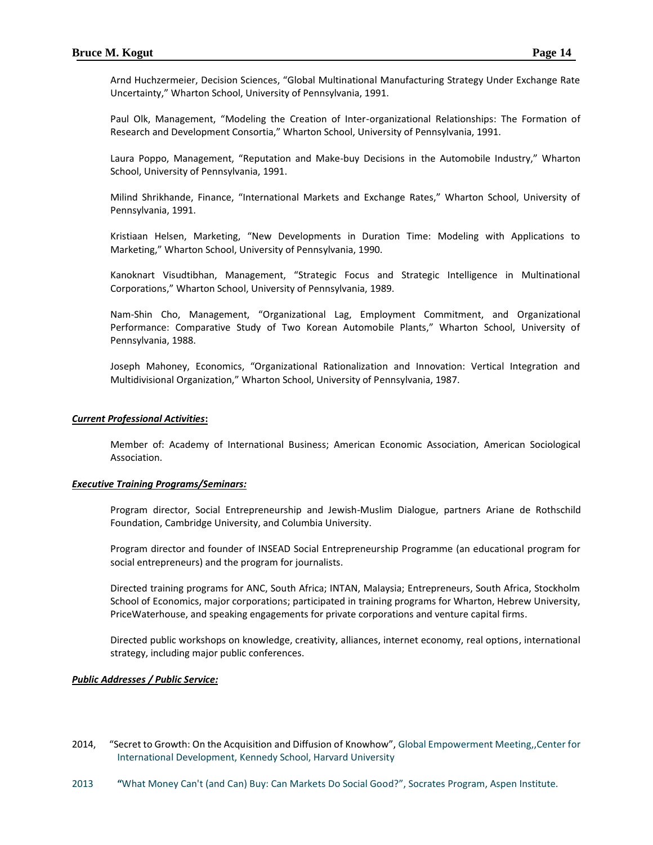Arnd Huchzermeier, Decision Sciences, "Global Multinational Manufacturing Strategy Under Exchange Rate Uncertainty," Wharton School, University of Pennsylvania, 1991.

Paul Olk, Management, "Modeling the Creation of Inter-organizational Relationships: The Formation of Research and Development Consortia," Wharton School, University of Pennsylvania, 1991.

Laura Poppo, Management, "Reputation and Make-buy Decisions in the Automobile Industry," Wharton School, University of Pennsylvania, 1991.

Milind Shrikhande, Finance, "International Markets and Exchange Rates," Wharton School, University of Pennsylvania, 1991.

Kristiaan Helsen, Marketing, "New Developments in Duration Time: Modeling with Applications to Marketing," Wharton School, University of Pennsylvania, 1990.

Kanoknart Visudtibhan, Management, "Strategic Focus and Strategic Intelligence in Multinational Corporations," Wharton School, University of Pennsylvania, 1989.

Nam-Shin Cho, Management, "Organizational Lag, Employment Commitment, and Organizational Performance: Comparative Study of Two Korean Automobile Plants," Wharton School, University of Pennsylvania, 1988.

Joseph Mahoney, Economics, "Organizational Rationalization and Innovation: Vertical Integration and Multidivisional Organization," Wharton School, University of Pennsylvania, 1987.

## *Current Professional Activities***:**

Member of: Academy of International Business; American Economic Association, American Sociological Association.

#### *Executive Training Programs/Seminars:*

Program director, Social Entrepreneurship and Jewish-Muslim Dialogue, partners Ariane de Rothschild Foundation, Cambridge University, and Columbia University.

Program director and founder of INSEAD Social Entrepreneurship Programme (an educational program for social entrepreneurs) and the program for journalists.

Directed training programs for ANC, South Africa; INTAN, Malaysia; Entrepreneurs, South Africa, Stockholm School of Economics, major corporations; participated in training programs for Wharton, Hebrew University, PriceWaterhouse, and speaking engagements for private corporations and venture capital firms.

Directed public workshops on knowledge, creativity, alliances, internet economy, real options, international strategy, including major public conferences.

## *Public Addresses / Public Service:*

- 2014, "Secret to Growth: On the Acquisition and Diffusion of Knowhow", Global Empowerment Meeting,,Center for International Development, Kennedy School, Harvard University
- 2013 **"**What Money Can't (and Can) Buy: Can Markets Do Social Good?", Socrates Program, Aspen Institute.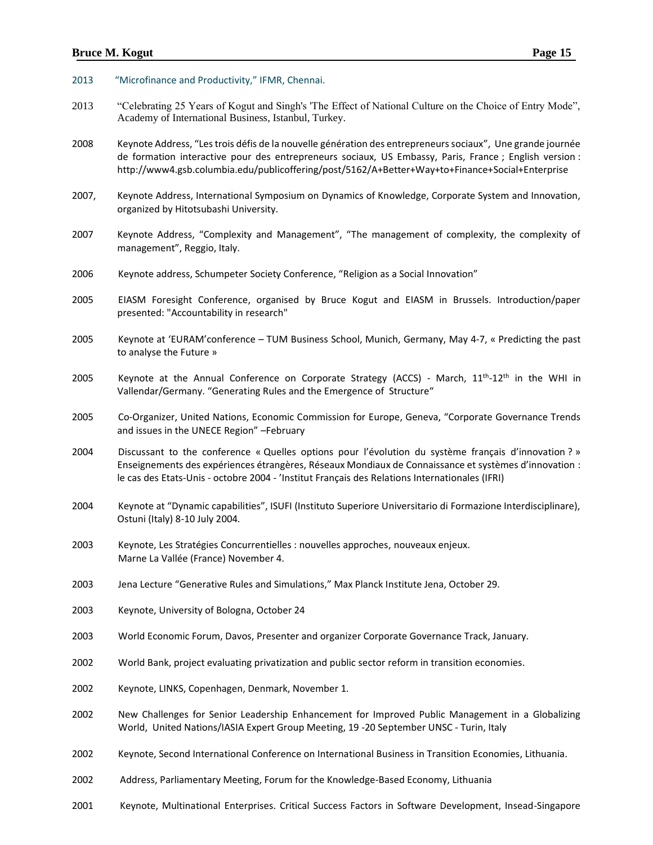## **Bruce M. Kogut Page 15**

#### 2013 "Microfinance and Productivity," IFMR, Chennai.

- 2013 "Celebrating 25 Years of Kogut and Singh's 'The Effect of National Culture on the Choice of Entry Mode", Academy of International Business, Istanbul, Turkey.
- 2008 Keynote Address, "Les trois défis de la nouvelle génération des entrepreneurs sociaux", Une grande journée de formation interactive pour des entrepreneurs sociaux, US Embassy, Paris, France ; English version : http://www4.gsb.columbia.edu/publicoffering/post/5162/A+Better+Way+to+Finance+Social+Enterprise
- 2007, Keynote Address, International Symposium on Dynamics of Knowledge, Corporate System and Innovation, organized by Hitotsubashi University.
- 2007 Keynote Address, "Complexity and Management", "The management of complexity, the complexity of management", Reggio, Italy.
- 2006 Keynote address, Schumpeter Society Conference, "Religion as a Social Innovation"
- 2005 EIASM Foresight Conference, organised by Bruce Kogut and EIASM in Brussels. Introduction/paper presented: "Accountability in research"
- 2005 Keynote at 'EURAM'conference TUM Business School, Munich, Germany, May 4-7, « Predicting the past to analyse the Future »
- 2005 Keynote at the Annual Conference on Corporate Strategy (ACCS) March, 11<sup>th</sup>-12<sup>th</sup> in the WHI in Vallendar/Germany. "Generating Rules and the Emergence of Structure"
- 2005 Co-Organizer, United Nations, Economic Commission for Europe, Geneva, "Corporate Governance Trends and issues in the UNECE Region" –February
- 2004 Discussant to the conference « Quelles options pour l'évolution du système français d'innovation ? » Enseignements des expériences étrangères, Réseaux Mondiaux de Connaissance et systèmes d'innovation : le cas des Etats-Unis - octobre 2004 - 'Institut Français des Relations Internationales (IFRI)
- 2004 Keynote at "Dynamic capabilities", ISUFI (Instituto Superiore Universitario di Formazione Interdisciplinare), Ostuni (Italy) 8-10 July 2004.
- 2003 Keynote, Les Stratégies Concurrentielles : nouvelles approches, nouveaux enjeux. Marne La Vallée (France) November 4.
- 2003 Jena Lecture "Generative Rules and Simulations," Max Planck Institute Jena, October 29.
- 2003 Keynote, University of Bologna, October 24
- 2003 World Economic Forum, Davos, Presenter and organizer Corporate Governance Track, January.
- 2002 World Bank, project evaluating privatization and public sector reform in transition economies.
- 2002 Keynote, LINKS, Copenhagen, Denmark, November 1.
- 2002 New Challenges for Senior Leadership Enhancement for Improved Public Management in a Globalizing World, United Nations/IASIA Expert Group Meeting, 19 -20 September UNSC - Turin, Italy
- 2002 Keynote, Second International Conference on International Business in Transition Economies, Lithuania.
- 2002 Address, Parliamentary Meeting, Forum for the Knowledge-Based Economy, Lithuania
- 2001 Keynote, Multinational Enterprises. Critical Success Factors in Software Development, Insead-Singapore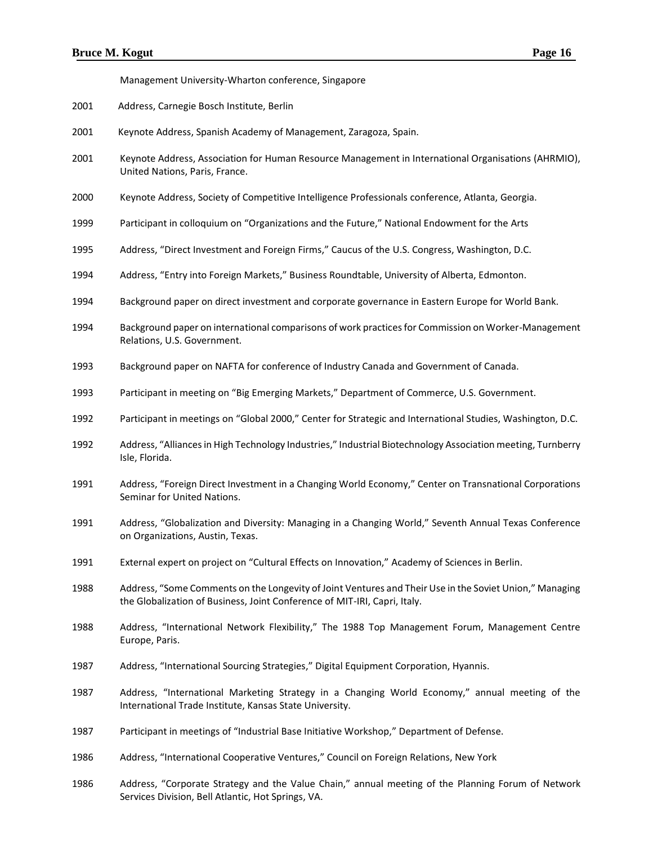Management University-Wharton conference, Singapore

- Address, Carnegie Bosch Institute, Berlin
- Keynote Address, Spanish Academy of Management, Zaragoza, Spain.
- Keynote Address, Association for Human Resource Management in International Organisations (AHRMIO), United Nations, Paris, France.
- Keynote Address, Society of Competitive Intelligence Professionals conference, Atlanta, Georgia.
- Participant in colloquium on "Organizations and the Future," National Endowment for the Arts
- Address, "Direct Investment and Foreign Firms," Caucus of the U.S. Congress, Washington, D.C.
- Address, "Entry into Foreign Markets," Business Roundtable, University of Alberta, Edmonton.
- Background paper on direct investment and corporate governance in Eastern Europe for World Bank.
- Background paper on international comparisons of work practices for Commission on Worker-Management Relations, U.S. Government.
- Background paper on NAFTA for conference of Industry Canada and Government of Canada.
- Participant in meeting on "Big Emerging Markets," Department of Commerce, U.S. Government.
- Participant in meetings on "Global 2000," Center for Strategic and International Studies, Washington, D.C.
- Address, "Alliances in High Technology Industries," Industrial Biotechnology Association meeting, Turnberry Isle, Florida.
- Address, "Foreign Direct Investment in a Changing World Economy," Center on Transnational Corporations Seminar for United Nations.
- Address, "Globalization and Diversity: Managing in a Changing World," Seventh Annual Texas Conference on Organizations, Austin, Texas.
- External expert on project on "Cultural Effects on Innovation," Academy of Sciences in Berlin.
- Address, "Some Comments on the Longevity of Joint Ventures and Their Use in the Soviet Union," Managing the Globalization of Business, Joint Conference of MIT-IRI, Capri, Italy.
- Address, "International Network Flexibility," The 1988 Top Management Forum, Management Centre Europe, Paris.
- Address, "International Sourcing Strategies," Digital Equipment Corporation, Hyannis.
- Address, "International Marketing Strategy in a Changing World Economy," annual meeting of the International Trade Institute, Kansas State University.
- Participant in meetings of "Industrial Base Initiative Workshop," Department of Defense.
- Address, "International Cooperative Ventures," Council on Foreign Relations, New York
- Address, "Corporate Strategy and the Value Chain," annual meeting of the Planning Forum of Network Services Division, Bell Atlantic, Hot Springs, VA.